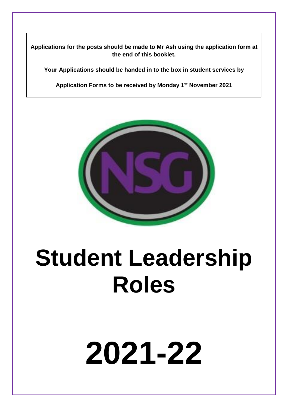**Applications for the posts should be made to Mr Ash using the application form at the end of this booklet.**

**Your Applications should be handed in to the box in student services by**

**Application Forms to be received by Monday 1 st November 2021**



# **Student Leadership Roles**

# **2021-22**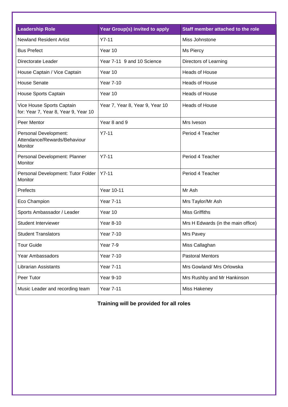| <b>Leadership Role</b>                                            | <b>Year Group(s) invited to apply</b> | Staff member attached to the role  |
|-------------------------------------------------------------------|---------------------------------------|------------------------------------|
| <b>Newland Resident Artist</b>                                    | $Y7-11$                               | Miss Johnstone                     |
| <b>Bus Prefect</b>                                                | Year 10                               | Ms Piercy                          |
| Directorate Leader                                                | Year 7-11 9 and 10 Science            | Directors of Learning              |
| House Captain / Vice Captain                                      | Year 10                               | <b>Heads of House</b>              |
| <b>House Senate</b>                                               | <b>Year 7-10</b>                      | <b>Heads of House</b>              |
| House Sports Captain                                              | Year 10                               | <b>Heads of House</b>              |
| Vice House Sports Captain<br>for: Year 7, Year 8, Year 9, Year 10 | Year 7, Year 8, Year 9, Year 10       | <b>Heads of House</b>              |
| Peer Mentor                                                       | Year 8 and 9                          | Mrs Iveson                         |
| Personal Development:<br>Attendance/Rewards/Behaviour<br>Monitor  | $Y7-11$                               | Period 4 Teacher                   |
| Personal Development: Planner<br>Monitor                          | $Y7-11$                               | Period 4 Teacher                   |
| Personal Development: Tutor Folder<br>Monitor                     | $Y7-11$                               | Period 4 Teacher                   |
| Prefects                                                          | Year 10-11                            | Mr Ash                             |
| Eco Champion                                                      | <b>Year 7-11</b>                      | Mrs Taylor/Mr Ash                  |
| Sports Ambassador / Leader                                        | Year 10                               | <b>Miss Griffiths</b>              |
| <b>Student Interviewer</b>                                        | <b>Year 8-10</b>                      | Mrs H Edwards (in the main office) |
| <b>Student Translators</b>                                        | Year 7-10                             | Mrs Pavey                          |
| <b>Tour Guide</b>                                                 | Year 7-9                              | Miss Callaghan                     |
| Year Ambassadors                                                  | <b>Year 7-10</b>                      | <b>Pastoral Mentors</b>            |
| Librarian Assistants                                              | <b>Year 7-11</b>                      | Mrs Gowland/ Mrs Orlowska          |
| Peer Tutor                                                        | <b>Year 9-10</b>                      | Mrs Rushby and Mr Hankinson        |
| Music Leader and recording team                                   | <b>Year 7-11</b>                      | Miss Hakeney                       |

**Training will be provided for all roles**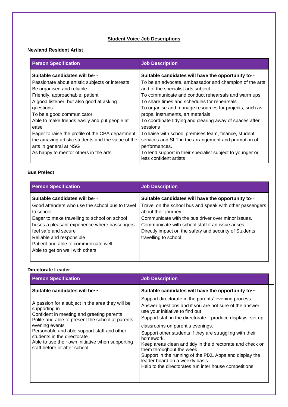# **Student Voice Job Descriptions**

#### **Newland Resident Artist**

| <b>Person Specification</b>                        | <b>Job Description</b>                                                              |
|----------------------------------------------------|-------------------------------------------------------------------------------------|
| Suitable candidates will be                        | Suitable candidates will have the opportunity to                                    |
| Passionate about artistic subjects or interests    | To be an advocate, ambassador and champion of the arts                              |
| Be organised and reliable                          | and of the specialist arts subject                                                  |
| Friendly, approachable, patient                    | To communicate and conduct rehearsals and warm ups                                  |
| A good listener, but also good at asking           | To share times and schedules for rehearsals                                         |
| questions                                          | To organise and manage resources for projects, such as                              |
| To be a good communicator                          | props, instruments, art materials                                                   |
| Able to make friends easily and put people at      | To coordinate tidying and clearing away of spaces after                             |
| ease                                               | sessions                                                                            |
| Eager to raise the profile of the CPA department,  | To liaise with school premises team, finance, student                               |
| the amazing artistic students and the value of the | services and SLT in the arrangement and promotion of                                |
| arts in general at NSG                             | performances.                                                                       |
| As happy to mentor others in the arts.             | To lend support in their specialist subject to younger or<br>less confident artists |

#### **Bus Prefect**

| <b>Person Specification</b>                                                                                                                                                                                                                                                                                                | <b>Job Description</b>                                                                                                                                                                                                                                                                                                             |
|----------------------------------------------------------------------------------------------------------------------------------------------------------------------------------------------------------------------------------------------------------------------------------------------------------------------------|------------------------------------------------------------------------------------------------------------------------------------------------------------------------------------------------------------------------------------------------------------------------------------------------------------------------------------|
| Suitable candidates will be<br>Good attenders who use the school bus to travel<br>to school<br>Eager to make travelling to school on school<br>buses a pleasant experience where passengers<br>feel safe and secure<br>Reliable and responsible<br>Patient and able to communicate well<br>Able to get on well with others | Suitable candidates will have the opportunity to<br>Travel on the school bus and speak with other passengers<br>about their journey.<br>Communicate with the bus driver over minor issues.<br>Communicate with school staff if an issue arises.<br>Directly impact on the safety and security of Students<br>travelling to school. |

#### **Directorate Leader**

| <b>Person Specification</b>                                                                                                                                                                                                                                                                                                                                                           | <b>Job Description</b>                                                                                                                                                                                                                                                                                                                                                                                                                                                                                                                 |
|---------------------------------------------------------------------------------------------------------------------------------------------------------------------------------------------------------------------------------------------------------------------------------------------------------------------------------------------------------------------------------------|----------------------------------------------------------------------------------------------------------------------------------------------------------------------------------------------------------------------------------------------------------------------------------------------------------------------------------------------------------------------------------------------------------------------------------------------------------------------------------------------------------------------------------------|
| Suitable candidates will be<br>A passion for a subject in the area they will be<br>supporting in<br>Confident in meeting and greeting parents<br>Polite and able to present the school at parents<br>evening events<br>Personable and able support staff and other<br>students in the directorate<br>Able to use their own initiative when supporting<br>staff before or after school | Suitable candidates will have the opportunity to<br>Support directorate in the parents' evening process<br>Answer questions and if you are not sure of the answer<br>use your initiative to find out<br>Support staff in the directorate $-$ produce displays, set up<br>classrooms on parent's evenings.<br>Support other students if they are struggling with their<br>homework.<br>Keep areas clean and tidy in the directorate and check on<br>them throughout the week<br>Support in the running of the PiXL Apps and display the |
|                                                                                                                                                                                                                                                                                                                                                                                       | leader board on a weekly basis.<br>Help to the directorates run inter house competitions                                                                                                                                                                                                                                                                                                                                                                                                                                               |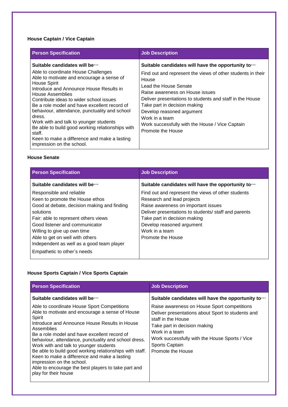# **House Captain / Vice Captain**

| <b>Person Specification</b>                                                                                                                                                                                                                                                                                                                                                                                                                                                                                                                      | <b>Job Description</b>                                                                                                                                                                                                                                                                                                                                                                                  |
|--------------------------------------------------------------------------------------------------------------------------------------------------------------------------------------------------------------------------------------------------------------------------------------------------------------------------------------------------------------------------------------------------------------------------------------------------------------------------------------------------------------------------------------------------|---------------------------------------------------------------------------------------------------------------------------------------------------------------------------------------------------------------------------------------------------------------------------------------------------------------------------------------------------------------------------------------------------------|
| Suitable candidates will be<br>Able to coordinate House Challenges<br>Able to motivate and encourage a sense of<br><b>House Spirit</b><br>Introduce and Announce House Results in<br>House Assemblies<br>Contribute ideas to wider school issues<br>Be a role model and have excellent record of<br>behaviour, attendance, punctuality and school<br>dress.<br>Work with and talk to younger students<br>Be able to build good working relationships with<br>staff.<br>Keen to make a difference and make a lasting<br>impression on the school. | Suitable candidates will have the opportunity to<br>Find out and represent the views of other students in their<br>House<br>Lead the House Senate<br>Raise awareness on House issues<br>Deliver presentations to students and staff in the House<br>Take part in decision making<br>Develop reasoned argument<br>Work in a team<br>Work successfully with the House / Vice Captain<br>Promote the House |

#### **House Senate**

| <b>Person Specification</b>                                                                                                                                                                                                                                                                                      | <b>Job Description</b>                                                                                                                                                                                                                                                              |
|------------------------------------------------------------------------------------------------------------------------------------------------------------------------------------------------------------------------------------------------------------------------------------------------------------------|-------------------------------------------------------------------------------------------------------------------------------------------------------------------------------------------------------------------------------------------------------------------------------------|
| Suitable candidates will be                                                                                                                                                                                                                                                                                      | Suitable candidates will have the opportunity to                                                                                                                                                                                                                                    |
| Responsible and reliable<br>Keen to promote the House ethos<br>Good at debate, decision making and finding<br>solutions<br>Fair: able to represent others views<br>Good listener and communicator<br>Willing to give up own time<br>Able to get on well with others<br>Independent as well as a good team player | Find out and represent the views of other students<br>Research and lead projects<br>Raise awareness on important issues<br>Deliver presentations to students/ staff and parents<br>Take part in decision making<br>Develop reasoned argument<br>Work in a team<br>Promote the House |
| Empathetic to other's needs                                                                                                                                                                                                                                                                                      |                                                                                                                                                                                                                                                                                     |

# **House Sports Captain / Vice Sports Captain**

| <b>Person Specification</b>                                                                                                                                                                                                                                                                                                                                                                                                                                                                                                                                                     | <b>Job Description</b>                                                                                                                                                                                                                                                                                                |
|---------------------------------------------------------------------------------------------------------------------------------------------------------------------------------------------------------------------------------------------------------------------------------------------------------------------------------------------------------------------------------------------------------------------------------------------------------------------------------------------------------------------------------------------------------------------------------|-----------------------------------------------------------------------------------------------------------------------------------------------------------------------------------------------------------------------------------------------------------------------------------------------------------------------|
| Suitable candidates will be<br>Able to coordinate House Sport Competitions<br>Able to motivate and encourage a sense of House<br>Spirit<br>Introduce and Announce House Results in House<br>Assemblies<br>Be a role model and have excellent record of<br>behaviour, attendance, punctuality and school dress.<br>Work with and talk to younger students<br>Be able to build good working relationships with staff.<br>Keen to make a difference and make a lasting<br>impression on the school.<br>Able to encourage the best players to take part and<br>play for their house | Suitable candidates will have the opportunity to<br>Raise awareness on House Sport competitions<br>Deliver presentations about Sport to students and<br>staff in the House<br>Take part in decision making<br>Work in a team<br>Work successfully with the House Sports / Vice<br>Sports Captain<br>Promote the House |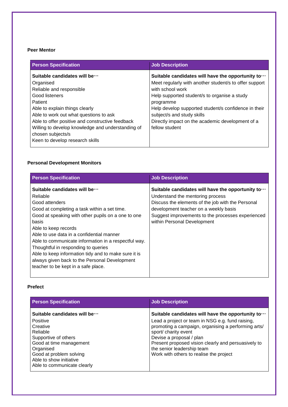#### **Peer Mentor**

| <b>Person Specification</b>                       | <b>Job Description</b>                                 |
|---------------------------------------------------|--------------------------------------------------------|
| Suitable candidates will be                       | Suitable candidates will have the opportunity to       |
| Organised                                         | Meet regularly with another student/s to offer support |
| Reliable and responsible                          | with school work                                       |
| Good listeners                                    | Help supported student/s to organise a study           |
| Patient                                           | programme                                              |
| Able to explain things clearly                    | Help develop supported student/s confidence in their   |
| Able to work out what questions to ask            | subject/s and study skills                             |
| Able to offer positive and constructive feedback  | Directly impact on the academic development of a       |
| Willing to develop knowledge and understanding of | fellow student                                         |
| chosen subjects/s                                 |                                                        |
| Keen to develop research skills                   |                                                        |
|                                                   |                                                        |

# **Personal Development Monitors**

| <b>Person Specification</b>                                                                                                                                                                                                                                                                                                                                                                                                                                                                  | <b>Job Description</b>                                                                                                                                                                                                                                                 |
|----------------------------------------------------------------------------------------------------------------------------------------------------------------------------------------------------------------------------------------------------------------------------------------------------------------------------------------------------------------------------------------------------------------------------------------------------------------------------------------------|------------------------------------------------------------------------------------------------------------------------------------------------------------------------------------------------------------------------------------------------------------------------|
| Suitable candidates will be<br>Reliable<br>Good attenders<br>Good at completing a task within a set time.<br>Good at speaking with other pupils on a one to one<br>basis<br>Able to keep records<br>Able to use data in a confidential manner<br>Able to communicate information in a respectful way.<br>Thoughtful in responding to queries<br>Able to keep information tidy and to make sure it is<br>always given back to the Personal Development<br>teacher to be kept in a safe place. | Suitable candidates will have the opportunity to<br>Understand the mentoring process<br>Discuss the elements of the job with the Personal<br>development teacher on a weekly basis<br>Suggest improvements to the processes experienced<br>within Personal Development |

#### **Prefect**

| <b>Person Specification</b>                                                                                                                                                                                          | <b>Job Description</b>                                                                                                                                                                                                                                                                                                                          |
|----------------------------------------------------------------------------------------------------------------------------------------------------------------------------------------------------------------------|-------------------------------------------------------------------------------------------------------------------------------------------------------------------------------------------------------------------------------------------------------------------------------------------------------------------------------------------------|
| Suitable candidates will be<br>Positive<br>Creative<br>Reliable<br>Supportive of others<br>Good at time management<br>Organised<br>Good at problem solving<br>Able to show initiative<br>Able to communicate clearly | Suitable candidates will have the opportunity to<br>Lead a project or team in NSG e.g. fund raising,<br>promoting a campaign, organising a performing arts/<br>sport/ charity event<br>Devise a proposal / plan<br>Present proposed vision clearly and persuasively to<br>the senior leadership team<br>Work with others to realise the project |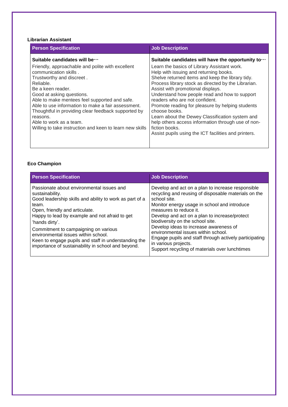#### **Librarian Assistant**

# **Eco Champion**

| <b>Person Specification</b>                                                                                                                                                                                                                                                                                                                                                                                                         | <b>Job Description</b>                                                                                                                                                                                                                                                                                                                                                                                                                                                                                        |
|-------------------------------------------------------------------------------------------------------------------------------------------------------------------------------------------------------------------------------------------------------------------------------------------------------------------------------------------------------------------------------------------------------------------------------------|---------------------------------------------------------------------------------------------------------------------------------------------------------------------------------------------------------------------------------------------------------------------------------------------------------------------------------------------------------------------------------------------------------------------------------------------------------------------------------------------------------------|
| Passionate about environmental issues and<br>sustainability.<br>Good leadership skills and ability to work as part of a<br>team.<br>Open, friendly and articulate.<br>Happy to lead by example and not afraid to get<br>'hands dirty'.<br>Commitment to campaigning on various<br>environmental issues within school.<br>Keen to engage pupils and staff in understanding the<br>importance of sustainability in school and beyond. | Develop and act on a plan to increase responsible<br>recycling and reusing of disposable materials on the<br>school site.<br>Monitor energy usage in school and introduce<br>measures to reduce it.<br>Develop and act on a plan to increase/protect<br>biodiversity on the school site.<br>Develop ideas to increase awareness of<br>environmental issues within school.<br>Engage pupils and staff through actively participating<br>in various projects.<br>Support recycling of materials over lunchtimes |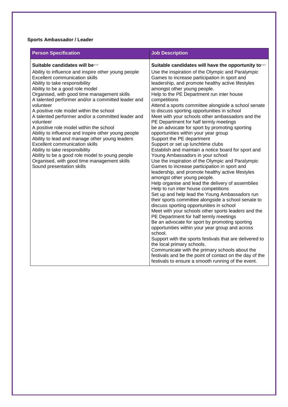#### **Sports Ambassador / Leader**

| <b>Person Specification</b>                                                                                                                                                                                                                                                                                                                                                                                                                                                                                                                                                                                                                                                                                                                                                                    | <b>Job Description</b>                                                                                                                                                                                                                                                                                                                                                                                                                                                                                                                                                                                                                                                                                                                                                                                                                                                                                                                                                                                                                                                                                                                                                                                                                                                                                                                                                                                                                                                                                                                                                                                                                                                                    |
|------------------------------------------------------------------------------------------------------------------------------------------------------------------------------------------------------------------------------------------------------------------------------------------------------------------------------------------------------------------------------------------------------------------------------------------------------------------------------------------------------------------------------------------------------------------------------------------------------------------------------------------------------------------------------------------------------------------------------------------------------------------------------------------------|-------------------------------------------------------------------------------------------------------------------------------------------------------------------------------------------------------------------------------------------------------------------------------------------------------------------------------------------------------------------------------------------------------------------------------------------------------------------------------------------------------------------------------------------------------------------------------------------------------------------------------------------------------------------------------------------------------------------------------------------------------------------------------------------------------------------------------------------------------------------------------------------------------------------------------------------------------------------------------------------------------------------------------------------------------------------------------------------------------------------------------------------------------------------------------------------------------------------------------------------------------------------------------------------------------------------------------------------------------------------------------------------------------------------------------------------------------------------------------------------------------------------------------------------------------------------------------------------------------------------------------------------------------------------------------------------|
| Suitable candidates will be<br>Ability to influence and inspire other young people<br><b>Excellent communication skills</b><br>Ability to take responsibility<br>Ability to be a good role model<br>Organised, with good time management skills<br>A talented performer and/or a committed leader and<br>volunteer<br>A positive role model within the school<br>A talented performer and/or a committed leader and<br>volunteer<br>A positive role model within the school<br>Ability to influence and inspire other young people<br>Ability to lead and manage other young leaders<br><b>Excellent communication skills</b><br>Ability to take responsibility<br>Ability to be a good role model to young people<br>Organised, with good time management skills<br>Sound presentation skills | Suitable candidates will have the opportunity to<br>Use the inspiration of the Olympic and Paralympic<br>Games to increase participation in sport and<br>leadership, and promote healthy active lifestyles<br>amongst other young people.<br>Help to the PE Department run inter house<br>competitions<br>Attend a sports committee alongside a school senate<br>to discuss sporting opportunities in school<br>Meet with your schools other ambassadors and the<br>PE Department for half termly meetings<br>be an advocate for sport by promoting sporting<br>opportunities within your year group<br>Support the PE department<br>Support or set up lunchtime clubs<br>Establish and maintain a notice board for sport and<br>Young Ambassadors in your school<br>Use the inspiration of the Olympic and Paralympic<br>Games to increase participation in sport and<br>leadership, and promote healthy active lifestyles<br>amongst other young people.<br>Help organise and lead the delivery of assemblies<br>Help to run inter house competitions<br>Set up and help lead the Young Ambassadors run<br>their sports committee alongside a school senate to<br>discuss sporting opportunities in school<br>Meet with your schools other sports leaders and the<br>PE Department for half termly meetings<br>Be an advocate for sport by promoting sporting<br>opportunities within your year group and across<br>school.<br>Support with the sports festivals that are delivered to<br>the local primary schools.<br>Communicate with the primary schools about the<br>festivals and be the point of contact on the day of the<br>festivals to ensure a smooth running of the event. |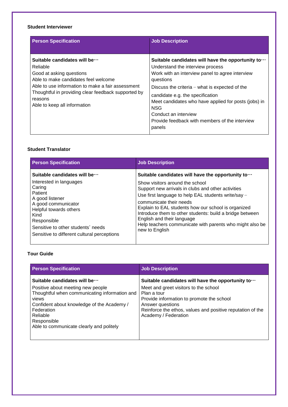#### **Student Interviewer**

| <b>Person Specification</b>                                                                                                                                                                                                                                        | <b>Job Description</b>                                                                                                                                                                                                                                                                                                                                                                                 |
|--------------------------------------------------------------------------------------------------------------------------------------------------------------------------------------------------------------------------------------------------------------------|--------------------------------------------------------------------------------------------------------------------------------------------------------------------------------------------------------------------------------------------------------------------------------------------------------------------------------------------------------------------------------------------------------|
| Suitable candidates will be<br>Reliable<br>Good at asking questions<br>Able to make candidates feel welcome<br>Able to use information to make a fair assessment<br>Thoughtful in providing clear feedback supported by<br>reasons<br>Able to keep all information | Suitable candidates will have the opportunity to<br>Understand the interview process<br>Work with an interview panel to agree interview<br>questions<br>Discuss the criteria $-$ what is expected of the<br>candidate e.g. the specification<br>Meet candidates who have applied for posts (jobs) in<br><b>NSG</b><br>Conduct an interview<br>Provide feedback with members of the interview<br>panels |

#### **Student Translator**

| <b>Person Specification</b>                                                                                                                                                                                                                                 | <b>Job Description</b>                                                                                                                                                                                                                                                                                                                                                                                                                                     |
|-------------------------------------------------------------------------------------------------------------------------------------------------------------------------------------------------------------------------------------------------------------|------------------------------------------------------------------------------------------------------------------------------------------------------------------------------------------------------------------------------------------------------------------------------------------------------------------------------------------------------------------------------------------------------------------------------------------------------------|
| Suitable candidates will be<br>Interested in languages<br>Caring<br>Patient<br>A good listener<br>A good communicator<br>Helpful towards others<br>Kind<br>Responsible<br>Sensitive to other students' needs<br>Sensitive to different cultural perceptions | Suitable candidates will have the opportunity to<br>Show visitors around the school<br>Support new arrivals in clubs and other activities<br>Use first language to help EAL students write/say -<br>communicate their needs<br>Explain to EAL students how our school is organized<br>Introduce them to other students: build a bridge between<br>English and their language<br>Help teachers communicate with parents who might also be<br>new to English |

#### **Tour Guide**

| <b>Person Specification</b>                                                                                                                                                                                                                                   | <b>Job Description</b>                                                                                                                                                                                                                                          |
|---------------------------------------------------------------------------------------------------------------------------------------------------------------------------------------------------------------------------------------------------------------|-----------------------------------------------------------------------------------------------------------------------------------------------------------------------------------------------------------------------------------------------------------------|
| Suitable candidates will be<br>Positive about meeting new people<br>Thoughtful when communicating information and<br>views<br>Confident about knowledge of the Academy /<br>Federation<br>Reliable<br>Responsible<br>Able to communicate clearly and politely | Suitable candidates will have the opportunity to<br>Meet and greet visitors to the school<br>Plan a tour<br>Provide information to promote the school<br>Answer questions<br>Reinforce the ethos, values and positive reputation of the<br>Academy / Federation |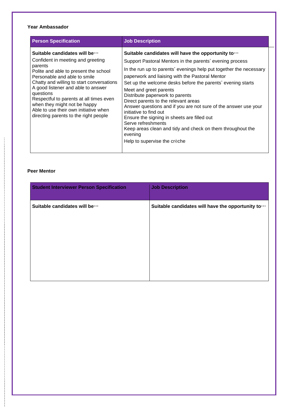#### **Year Ambassador**

| <b>Person Specification</b>                                                                                                                                                                                                                                                                                                                                                                                       | <b>Job Description</b>                                                                                                                                                                                                                                                                                                                                                                                                                                                                                                                                                                                                                                                               |
|-------------------------------------------------------------------------------------------------------------------------------------------------------------------------------------------------------------------------------------------------------------------------------------------------------------------------------------------------------------------------------------------------------------------|--------------------------------------------------------------------------------------------------------------------------------------------------------------------------------------------------------------------------------------------------------------------------------------------------------------------------------------------------------------------------------------------------------------------------------------------------------------------------------------------------------------------------------------------------------------------------------------------------------------------------------------------------------------------------------------|
| Suitable candidates will be<br>Confident in meeting and greeting<br>parents<br>Polite and able to present the school<br>Personable and able to smile<br>Chatty and willing to start conversations<br>A good listener and able to answer<br>questions<br>Respectful to parents at all times even<br>when they might not be happy<br>Able to use their own initiative when<br>directing parents to the right people | Suitable candidates will have the opportunity to<br>Support Pastoral Mentors in the parents' evening process<br>In the run up to parents' evenings help put together the necessary<br>paperwork and liaising with the Pastoral Mentor<br>Set up the welcome desks before the parents' evening starts<br>Meet and greet parents<br>Distribute paperwork to parents<br>Direct parents to the relevant areas<br>Answer questions and if you are not sure of the answer use your<br>initiative to find out<br>Ensure the signing in sheets are filled out<br>Serve refreshments<br>Keep areas clean and tidy and check on them throughout the<br>evening<br>Help to supervise the crèche |

#### **Peer Mentor**

ţ

| <b>Student Interviewer Person Specification</b> | <b>Job Description</b>                           |
|-------------------------------------------------|--------------------------------------------------|
| Suitable candidates will be                     | Suitable candidates will have the opportunity to |
|                                                 |                                                  |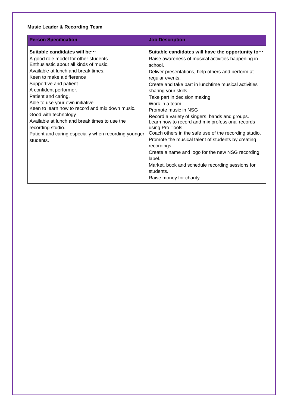# **Music Leader & Recording Team**

| <b>Person Specification</b>                                                                                                                                                                                                                                                                                                                                                                                                                                                                                              | <b>Job Description</b>                                                                                                                                                                                                                                                                                                                                                                                                                                                                                                                                                                                                                                                                                                                                                |
|--------------------------------------------------------------------------------------------------------------------------------------------------------------------------------------------------------------------------------------------------------------------------------------------------------------------------------------------------------------------------------------------------------------------------------------------------------------------------------------------------------------------------|-----------------------------------------------------------------------------------------------------------------------------------------------------------------------------------------------------------------------------------------------------------------------------------------------------------------------------------------------------------------------------------------------------------------------------------------------------------------------------------------------------------------------------------------------------------------------------------------------------------------------------------------------------------------------------------------------------------------------------------------------------------------------|
| Suitable candidates will be<br>A good role model for other students.<br>Enthusiastic about all kinds of music.<br>Available at lunch and break times.<br>Keen to make a difference<br>Supportive and patient.<br>A confident performer.<br>Patient and caring.<br>Able to use your own initiative.<br>Keen to learn how to record and mix down music.<br>Good with technology<br>Available at lunch and break times to use the<br>recording studio.<br>Patient and caring especially when recording younger<br>students. | Suitable candidates will have the opportunity to<br>Raise awareness of musical activities happening in<br>school.<br>Deliver presentations, help others and perform at<br>regular events.<br>Create and take part in lunchtime musical activities<br>sharing your skills.<br>Take part in decision making<br>Work in a team<br>Promote music in NSG<br>Record a variety of singers, bands and groups.<br>Learn how to record and mix professional records<br>using Pro Tools.<br>Coach others in the safe use of the recording studio.<br>Promote the musical talent of students by creating<br>recordings.<br>Create a name and logo for the new NSG recording<br>label.<br>Market, book and schedule recording sessions for<br>students.<br>Raise money for charity |